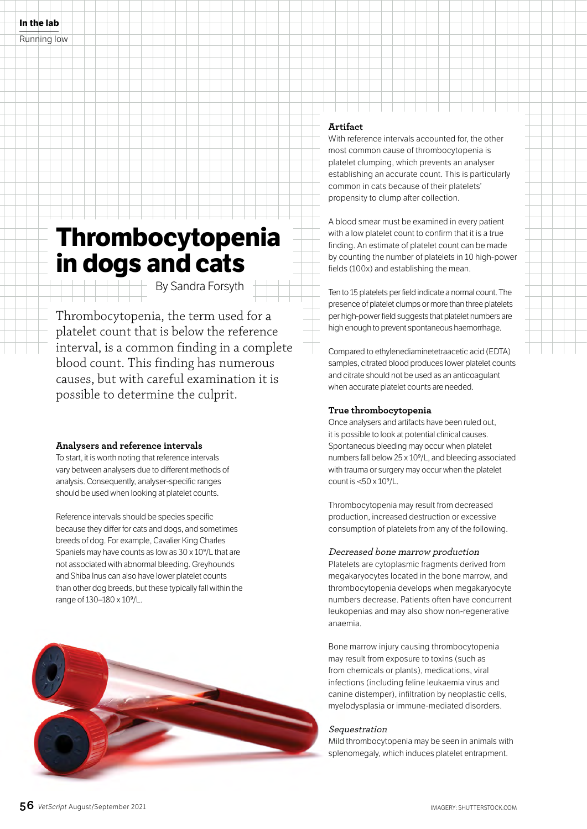# **Thrombocytopenia in dogs and cats**

By Sandra Forsyth

Thrombocytopenia, the term used for a platelet count that is below the reference interval, is a common finding in a complete blood count. This finding has numerous causes, but with careful examination it is possible to determine the culprit.

## **Analysers and reference intervals**

To start, it is worth noting that reference intervals vary between analysers due to different methods of analysis. Consequently, analyser-specific ranges should be used when looking at platelet counts.

Reference intervals should be species specific because they differ for cats and dogs, and sometimes breeds of dog. For example, Cavalier King Charles Spaniels may have counts as low as 30 x 10<sup>9</sup>/L that are not associated with abnormal bleeding. Greyhounds and Shiba Inus can also have lower platelet counts than other dog breeds, but these typically fall within the range of 130–180 x 109/L.



# **Artifact**

With reference intervals accounted for, the other most common cause of thrombocytopenia is platelet clumping, which prevents an analyser establishing an accurate count. This is particularly common in cats because of their platelets' propensity to clump after collection.

A blood smear must be examined in every patient with a low platelet count to confirm that it is a true finding. An estimate of platelet count can be made by counting the number of platelets in 10 high-power fields (100x) and establishing the mean.

Ten to 15 platelets per field indicate a normal count. The presence of platelet clumps or more than three platelets per high-power field suggests that platelet numbers are high enough to prevent spontaneous haemorrhage.

Compared to ethylenediaminetetraacetic acid (EDTA) samples, citrated blood produces lower platelet counts and citrate should not be used as an anticoagulant when accurate platelet counts are needed.

# **True thrombocytopenia**

Once analysers and artifacts have been ruled out, it is possible to look at potential clinical causes. Spontaneous bleeding may occur when platelet numbers fall below 25 x 109/L, and bleeding associated with trauma or surgery may occur when the platelet count is <50 x 109/L.

Thrombocytopenia may result from decreased production, increased destruction or excessive consumption of platelets from any of the following.

## Decreased bone marrow production

Platelets are cytoplasmic fragments derived from megakaryocytes located in the bone marrow, and thrombocytopenia develops when megakaryocyte numbers decrease. Patients often have concurrent leukopenias and may also show non-regenerative anaemia.

Bone marrow injury causing thrombocytopenia may result from exposure to toxins (such as from chemicals or plants), medications, viral infections (including feline leukaemia virus and canine distemper), infiltration by neoplastic cells, myelodysplasia or immune-mediated disorders.

## **Sequestration**

Mild thrombocytopenia may be seen in animals with splenomegaly, which induces platelet entrapment.